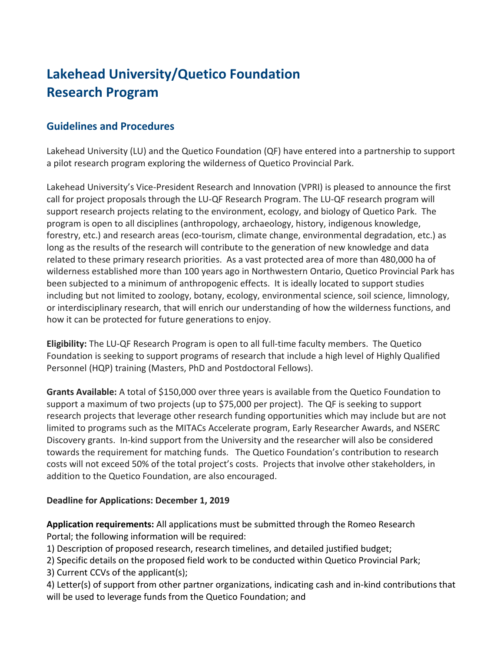## **Lakehead University/Quetico Foundation Research Program**

## **Guidelines and Procedures**

Lakehead University (LU) and the Quetico Foundation (QF) have entered into a partnership to support a pilot research program exploring the wilderness of Quetico Provincial Park.

Lakehead University's Vice-President Research and Innovation (VPRI) is pleased to announce the first call for project proposals through the LU-QF Research Program. The LU-QF research program will support research projects relating to the environment, ecology, and biology of Quetico Park. The program is open to all disciplines (anthropology, archaeology, history, indigenous knowledge, forestry, etc.) and research areas (eco-tourism, climate change, environmental degradation, etc.) as long as the results of the research will contribute to the generation of new knowledge and data related to these primary research priorities. As a vast protected area of more than 480,000 ha of wilderness established more than 100 years ago in Northwestern Ontario, Quetico Provincial Park has been subjected to a minimum of anthropogenic effects. It is ideally located to support studies including but not limited to zoology, botany, ecology, environmental science, soil science, limnology, or interdisciplinary research, that will enrich our understanding of how the wilderness functions, and how it can be protected for future generations to enjoy.

**Eligibility:** The LU-QF Research Program is open to all full-time faculty members. The Quetico Foundation is seeking to support programs of research that include a high level of Highly Qualified Personnel (HQP) training (Masters, PhD and Postdoctoral Fellows).

**Grants Available:** A total of \$150,000 over three years is available from the Quetico Foundation to support a maximum of two projects (up to \$75,000 per project). The QF is seeking to support research projects that leverage other research funding opportunities which may include but are not limited to programs such as the MITACs Accelerate program, Early Researcher Awards, and NSERC Discovery grants. In-kind support from the University and the researcher will also be considered towards the requirement for matching funds. The Quetico Foundation's contribution to research costs will not exceed 50% of the total project's costs. Projects that involve other stakeholders, in addition to the Quetico Foundation, are also encouraged.

## **Deadline for Applications: December 1, 2019**

**Application requirements:** All applications must be submitted through the Romeo Research Portal; the following information will be required:

1) Description of proposed research, research timelines, and detailed justified budget;

2) Specific details on the proposed field work to be conducted within Quetico Provincial Park;

3) Current CCVs of the applicant(s);

4) Letter(s) of support from other partner organizations, indicating cash and in-kind contributions that will be used to leverage funds from the Quetico Foundation; and